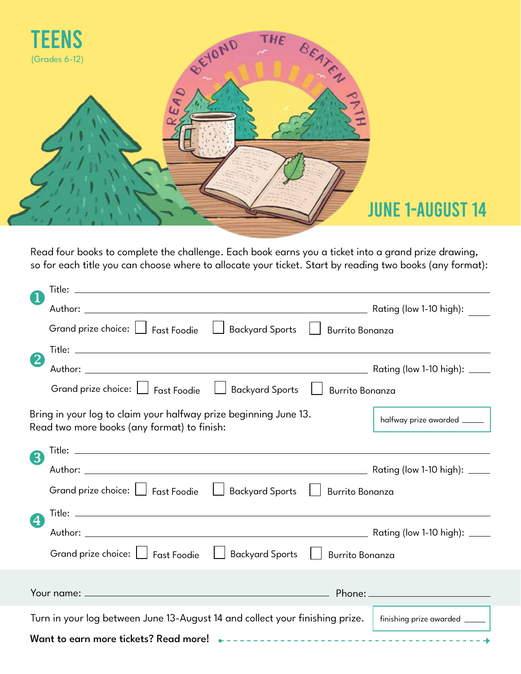

## JUNE 1-AUGUST 14

Read four books to complete the challenge. Each book earns you a ticket into a grand prize drawing, so for each title you can choose where to allocate your ticket. Start by reading two books (any format):

| $\mathbf{2}$   | Grand prize choice:   Fast Foodie   Backyard Sports   Burrito Bonanza                                            |                               |  |  |  |
|----------------|------------------------------------------------------------------------------------------------------------------|-------------------------------|--|--|--|
|                |                                                                                                                  |                               |  |  |  |
|                |                                                                                                                  |                               |  |  |  |
|                | Grand prize choice:   Fast Foodie<br>Backyard Sports     Burrito Bonanza                                         |                               |  |  |  |
|                | Bring in your log to claim your halfway prize beginning June 13.<br>Read two more books (any format) to finish:  | halfway prize awarded _______ |  |  |  |
| 3              |                                                                                                                  |                               |  |  |  |
|                |                                                                                                                  |                               |  |  |  |
| $\overline{4}$ | Grand prize choice:   Fast Foodie<br>  Backyard Sports   Burrito Bonanza                                         |                               |  |  |  |
|                |                                                                                                                  |                               |  |  |  |
|                |                                                                                                                  |                               |  |  |  |
|                | Grand prize choice:   Fast Foodie   Backyard Sports  <br><b>Burrito Bonanza</b>                                  |                               |  |  |  |
|                |                                                                                                                  |                               |  |  |  |
|                |                                                                                                                  |                               |  |  |  |
|                | Turn in your log between June 13-August 14 and collect your finishing prize.<br>  finishing prize awarded ______ |                               |  |  |  |
|                |                                                                                                                  |                               |  |  |  |